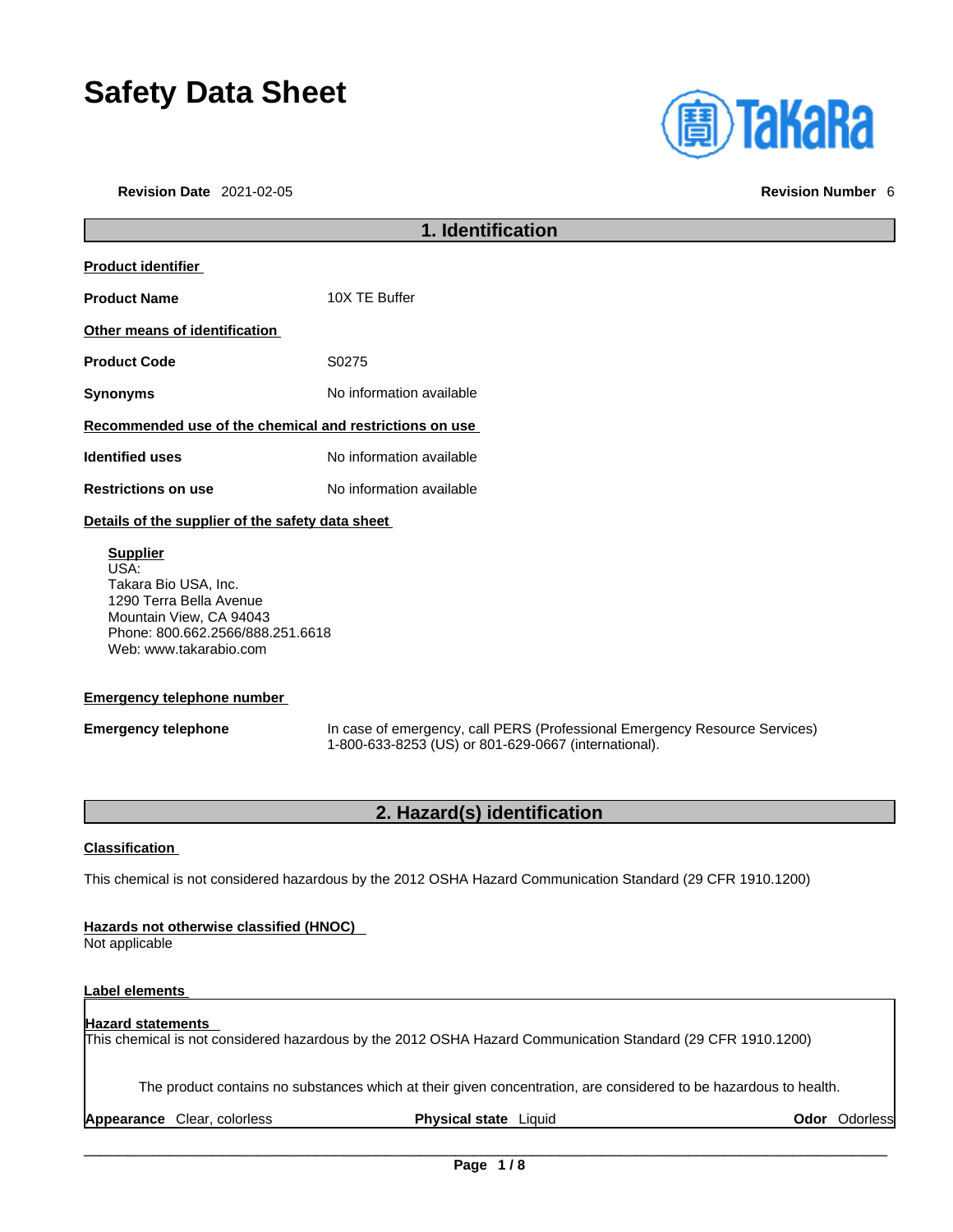# **Safety Data Sheet**

**Revision Date** 2021-02-05 **Revision Number** 6

| <b>(iii) TaKaRa</b> |  |  |
|---------------------|--|--|
|                     |  |  |
|                     |  |  |

| 1. Identification                                                                                                                         |                          |
|-------------------------------------------------------------------------------------------------------------------------------------------|--------------------------|
| <b>Product identifier</b>                                                                                                                 |                          |
| <b>Product Name</b>                                                                                                                       | 10X TE Buffer            |
| Other means of identification                                                                                                             |                          |
| <b>Product Code</b>                                                                                                                       | S0275                    |
| <b>Synonyms</b>                                                                                                                           | No information available |
| Recommended use of the chemical and restrictions on use                                                                                   |                          |
| <b>Identified uses</b>                                                                                                                    | No information available |
| <b>Restrictions on use</b>                                                                                                                | No information available |
| Details of the supplier of the safety data sheet                                                                                          |                          |
| <b>Supplier</b><br>USA:<br>Takara Bio USA, Inc.<br>1290 Terra Bella Avenue<br>Mountain View, CA 94043<br>Phone: 800.662.2566/888.251.6618 |                          |

### **Emergency telephone number**

Web: www.takarabio.com

**Emergency telephone** In case of emergency, call PERS (Professional Emergency Resource Services) 1-800-633-8253 (US) or 801-629-0667 (international).

### **2. Hazard(s) identification**

### **Classification**

This chemical is not considered hazardous by the 2012 OSHA Hazard Communication Standard (29 CFR 1910.1200)

### **Hazards not otherwise classified (HNOC)**

Not applicable

### **Label elements**

### **Hazard statements**  This chemical is not considered hazardous by the 2012 OSHA Hazard Communication Standard (29 CFR 1910.1200)

The product contains no substances which at their given concentration, are considered to be hazardous to health.

**Appearance** Clear, colorless **Physical state** Liquid **Odor** Odorless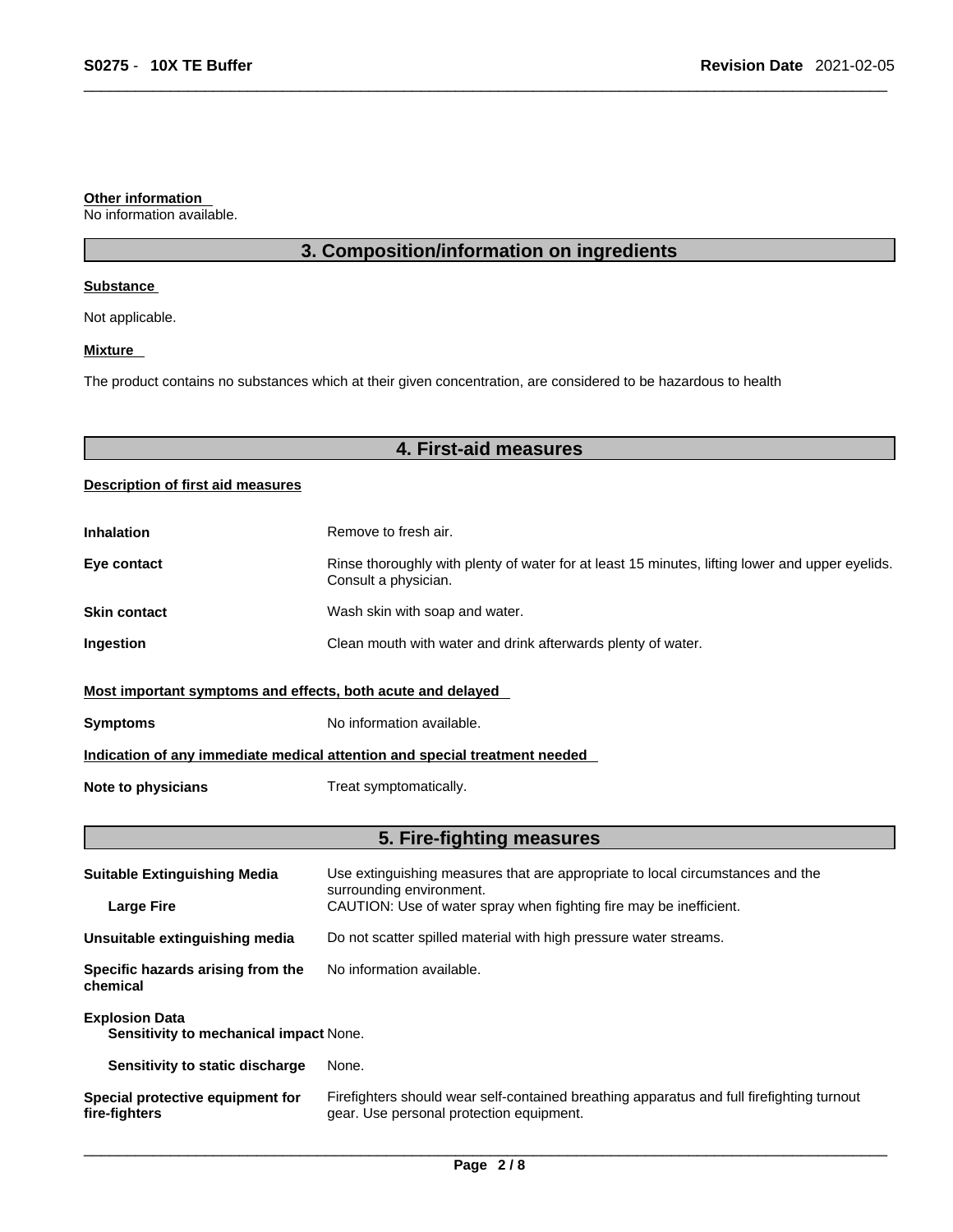#### **Other information**

No information available.

### **3. Composition/information on ingredients**

### **Substance**

Not applicable.

### **Mixture**

The product contains no substances which at their given concentration, are considered to be hazardous to health

### **4. First-aid measures**

### **Description of first aid measures**

| <b>Inhalation</b>                                                          | Remove to fresh air.                                                                                                    |  |
|----------------------------------------------------------------------------|-------------------------------------------------------------------------------------------------------------------------|--|
| Eye contact                                                                | Rinse thoroughly with plenty of water for at least 15 minutes, lifting lower and upper eyelids.<br>Consult a physician. |  |
| <b>Skin contact</b>                                                        | Wash skin with soap and water.                                                                                          |  |
| <b>Ingestion</b>                                                           | Clean mouth with water and drink afterwards plenty of water.                                                            |  |
| Most important symptoms and effects, both acute and delayed                |                                                                                                                         |  |
| <b>Symptoms</b>                                                            | No information available.                                                                                               |  |
| Indication of any immediate medical attention and special treatment needed |                                                                                                                         |  |
| Note to physicians                                                         | Treat symptomatically.                                                                                                  |  |

### **5. Fire-fighting measures**

| <b>Suitable Extinguishing Media</b>                             | Use extinguishing measures that are appropriate to local circumstances and the<br>surrounding environment.                            |
|-----------------------------------------------------------------|---------------------------------------------------------------------------------------------------------------------------------------|
| <b>Large Fire</b>                                               | CAUTION: Use of water spray when fighting fire may be inefficient.                                                                    |
| Unsuitable extinguishing media                                  | Do not scatter spilled material with high pressure water streams.                                                                     |
| Specific hazards arising from the<br>chemical                   | No information available.                                                                                                             |
| <b>Explosion Data</b><br>Sensitivity to mechanical impact None. |                                                                                                                                       |
| Sensitivity to static discharge                                 | None.                                                                                                                                 |
| Special protective equipment for<br>fire-fighters               | Firefighters should wear self-contained breathing apparatus and full firefighting turnout<br>gear. Use personal protection equipment. |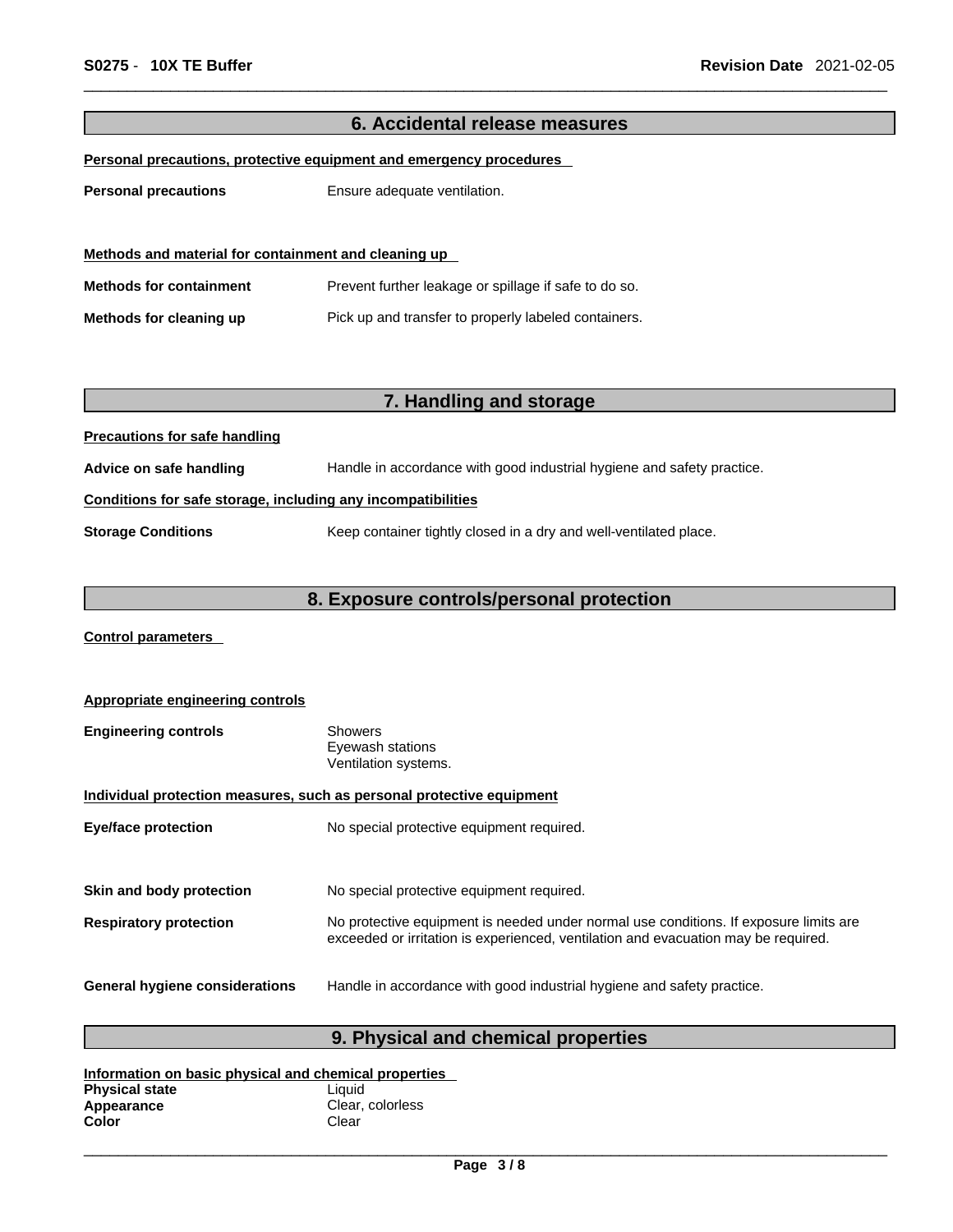| 6. Accidental release measures                               |                                                                        |  |
|--------------------------------------------------------------|------------------------------------------------------------------------|--|
|                                                              | Personal precautions, protective equipment and emergency procedures    |  |
|                                                              |                                                                        |  |
| <b>Personal precautions</b>                                  | Ensure adequate ventilation.                                           |  |
|                                                              |                                                                        |  |
| Methods and material for containment and cleaning up         |                                                                        |  |
|                                                              |                                                                        |  |
| <b>Methods for containment</b>                               | Prevent further leakage or spillage if safe to do so.                  |  |
| Methods for cleaning up                                      | Pick up and transfer to properly labeled containers.                   |  |
|                                                              |                                                                        |  |
|                                                              |                                                                        |  |
|                                                              |                                                                        |  |
|                                                              | 7. Handling and storage                                                |  |
| <b>Precautions for safe handling</b>                         |                                                                        |  |
| Advice on safe handling                                      | Handle in accordance with good industrial hygiene and safety practice. |  |
| Conditions for safe storage, including any incompatibilities |                                                                        |  |
| <b>Storage Conditions</b>                                    | Keep container tightly closed in a dry and well-ventilated place.      |  |
|                                                              |                                                                        |  |
| 8. Exposure controls/personal protection                     |                                                                        |  |

**Control parameters** 

| Appropriate engineering controls                                      |                                                                                                                                                                             |  |
|-----------------------------------------------------------------------|-----------------------------------------------------------------------------------------------------------------------------------------------------------------------------|--|
| <b>Engineering controls</b>                                           | <b>Showers</b><br>Eyewash stations<br>Ventilation systems.                                                                                                                  |  |
| Individual protection measures, such as personal protective equipment |                                                                                                                                                                             |  |
| <b>Eye/face protection</b>                                            | No special protective equipment required.                                                                                                                                   |  |
|                                                                       |                                                                                                                                                                             |  |
| Skin and body protection                                              | No special protective equipment required.                                                                                                                                   |  |
| <b>Respiratory protection</b>                                         | No protective equipment is needed under normal use conditions. If exposure limits are<br>exceeded or irritation is experienced, ventilation and evacuation may be required. |  |
| General hygiene considerations                                        | Handle in accordance with good industrial hygiene and safety practice.                                                                                                      |  |

## **9. Physical and chemical properties**

| Information on basic physical and chemical properties |                  |  |
|-------------------------------------------------------|------------------|--|
| <b>Physical state</b>                                 | Liauid           |  |
| Appearance                                            | Clear, colorless |  |
| Color                                                 | Clear            |  |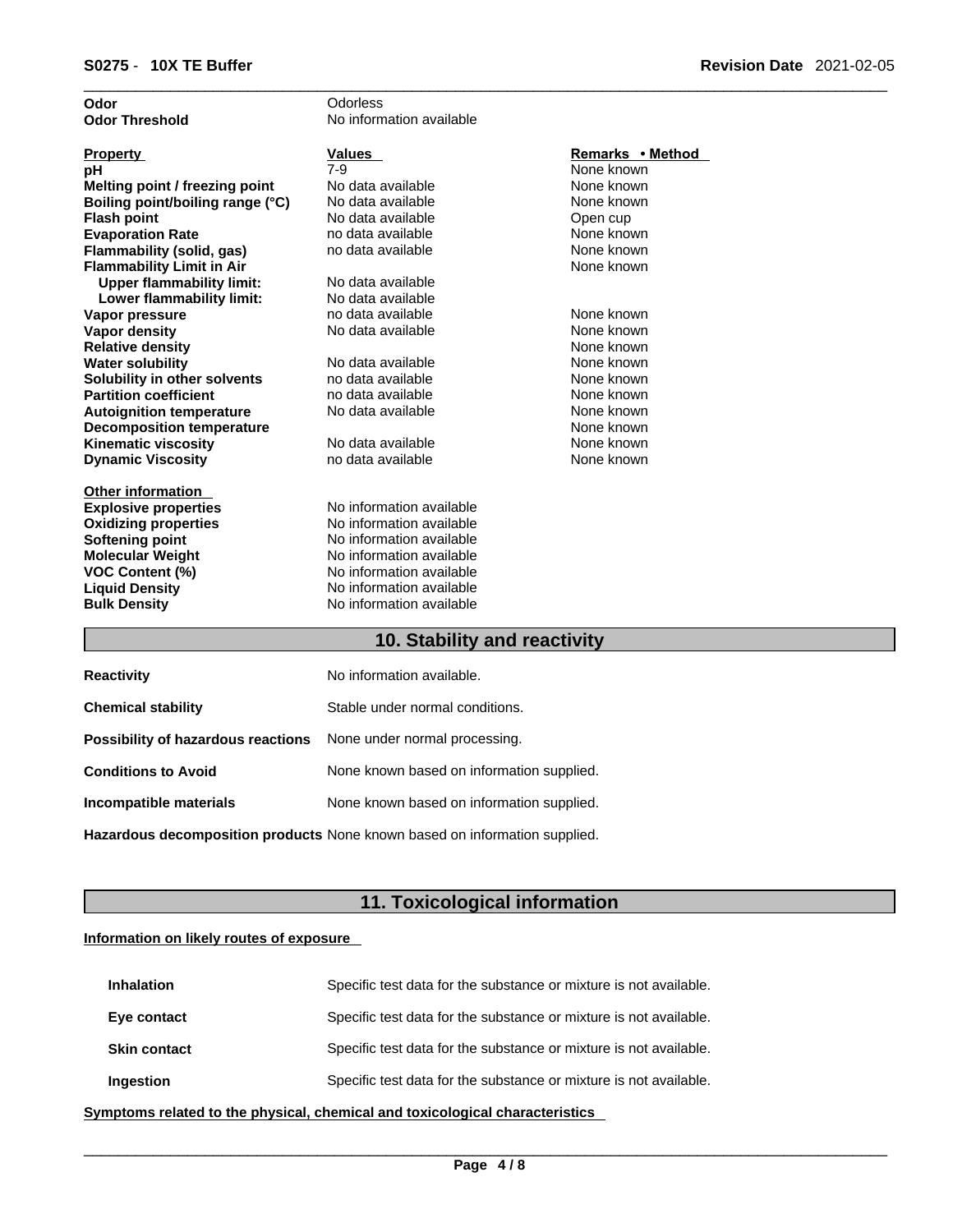| Odor                             | Odorless                 |                  |
|----------------------------------|--------------------------|------------------|
| <b>Odor Threshold</b>            | No information available |                  |
| <b>Property</b>                  | Values                   | Remarks • Method |
| рH                               | $7-9$                    | None known       |
| Melting point / freezing point   | No data available        | None known       |
| Boiling point/boiling range (°C) | No data available        | None known       |
| <b>Flash point</b>               | No data available        | Open cup         |
| <b>Evaporation Rate</b>          | no data available        | None known       |
| Flammability (solid, gas)        | no data available        | None known       |
| <b>Flammability Limit in Air</b> |                          | None known       |
| <b>Upper flammability limit:</b> | No data available        |                  |
| Lower flammability limit:        | No data available        |                  |
| Vapor pressure                   | no data available        | None known       |
| <b>Vapor density</b>             | No data available        | None known       |
| <b>Relative density</b>          |                          | None known       |
| <b>Water solubility</b>          | No data available        | None known       |
| Solubility in other solvents     | no data available        | None known       |
| <b>Partition coefficient</b>     | no data available        | None known       |
| <b>Autoignition temperature</b>  | No data available        | None known       |
| <b>Decomposition temperature</b> |                          | None known       |
| <b>Kinematic viscosity</b>       | No data available        | None known       |
| <b>Dynamic Viscosity</b>         | no data available        | None known       |
| <b>Other information</b>         |                          |                  |
| <b>Explosive properties</b>      | No information available |                  |
| <b>Oxidizing properties</b>      | No information available |                  |
| Softening point                  | No information available |                  |
| <b>Molecular Weight</b>          | No information available |                  |
| <b>VOC Content (%)</b>           | No information available |                  |
| <b>Liquid Density</b>            | No information available |                  |
| <b>Bulk Density</b>              | No information available |                  |
|                                  |                          |                  |

### **10. Stability and reactivity**

| <b>Reactivity</b>                                                       | No information available.                 |
|-------------------------------------------------------------------------|-------------------------------------------|
| <b>Chemical stability</b>                                               | Stable under normal conditions.           |
| <b>Possibility of hazardous reactions</b> None under normal processing. |                                           |
| <b>Conditions to Avoid</b>                                              | None known based on information supplied. |
| Incompatible materials                                                  | None known based on information supplied. |
|                                                                         |                                           |

**Hazardous decomposition products** None known based on information supplied.

## **11. Toxicological information**

### **Information on likely routes of exposure**

| <b>Inhalation</b>   | Specific test data for the substance or mixture is not available. |
|---------------------|-------------------------------------------------------------------|
| Eye contact         | Specific test data for the substance or mixture is not available. |
| <b>Skin contact</b> | Specific test data for the substance or mixture is not available. |
| Ingestion           | Specific test data for the substance or mixture is not available. |

**<u>Symptoms related to the physical, chemical and toxicological characteristics</u>**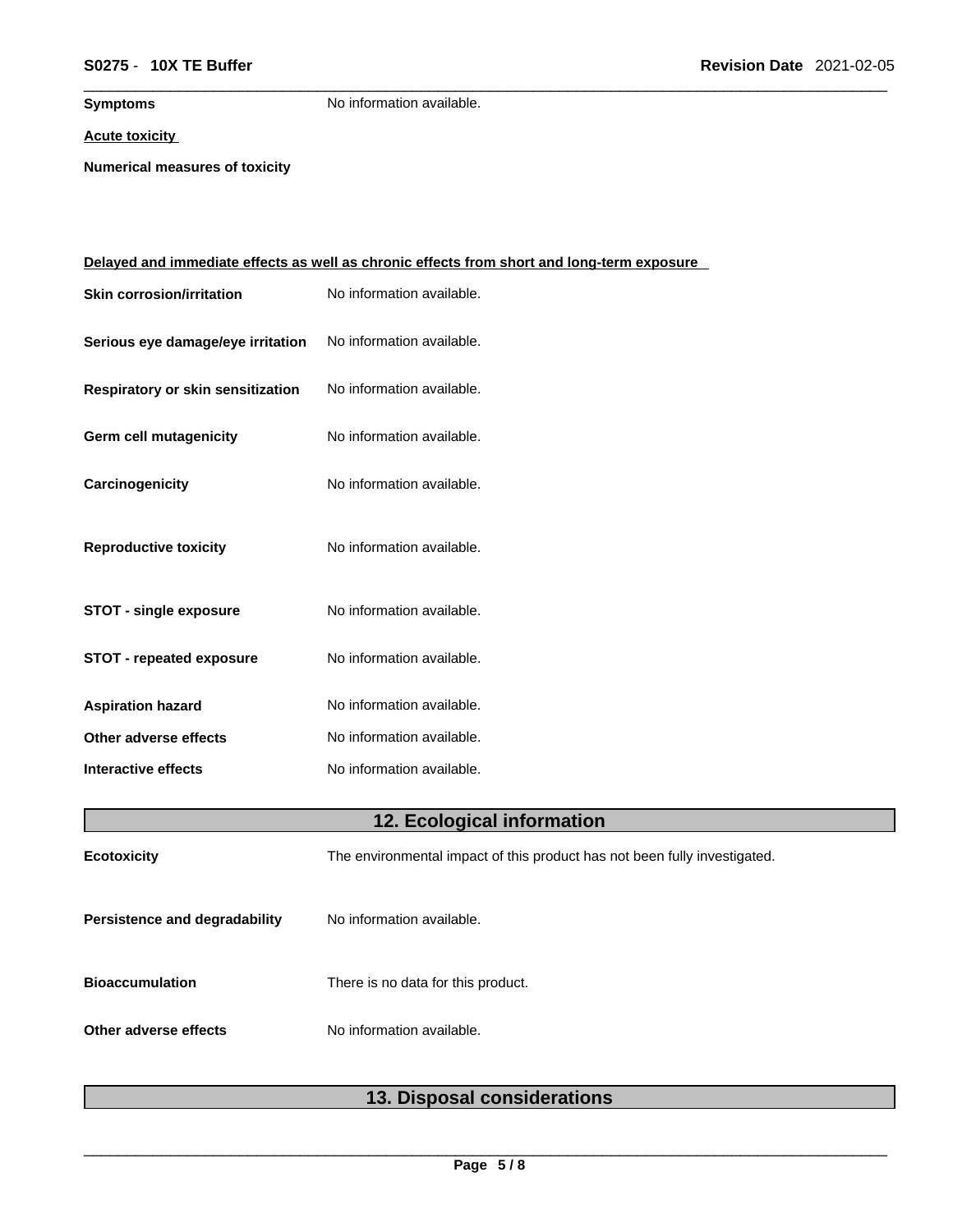**Symptoms** No information available.

### **Acute toxicity**

**Numerical measures of toxicity**

| <u>Delayed and immediate effects as well as chronic effects from short and long-term exposure</u> |                                                                           |  |
|---------------------------------------------------------------------------------------------------|---------------------------------------------------------------------------|--|
| <b>Skin corrosion/irritation</b>                                                                  | No information available.                                                 |  |
| Serious eye damage/eye irritation                                                                 | No information available.                                                 |  |
| Respiratory or skin sensitization                                                                 | No information available.                                                 |  |
| Germ cell mutagenicity                                                                            | No information available.                                                 |  |
| Carcinogenicity                                                                                   | No information available.                                                 |  |
| <b>Reproductive toxicity</b>                                                                      | No information available.                                                 |  |
| <b>STOT - single exposure</b>                                                                     | No information available.                                                 |  |
| <b>STOT - repeated exposure</b>                                                                   | No information available.                                                 |  |
| <b>Aspiration hazard</b>                                                                          | No information available.                                                 |  |
| Other adverse effects                                                                             | No information available.                                                 |  |
| <b>Interactive effects</b>                                                                        | No information available.                                                 |  |
|                                                                                                   | 12. Ecological information                                                |  |
| <b>Ecotoxicity</b>                                                                                | The environmental impact of this product has not been fully investigated. |  |
| Persistence and degradability                                                                     | No information available.                                                 |  |
| <b>Bioaccumulation</b>                                                                            | There is no data for this product.                                        |  |
| Other adverse effects                                                                             | No information available.                                                 |  |

## **13. Disposal considerations**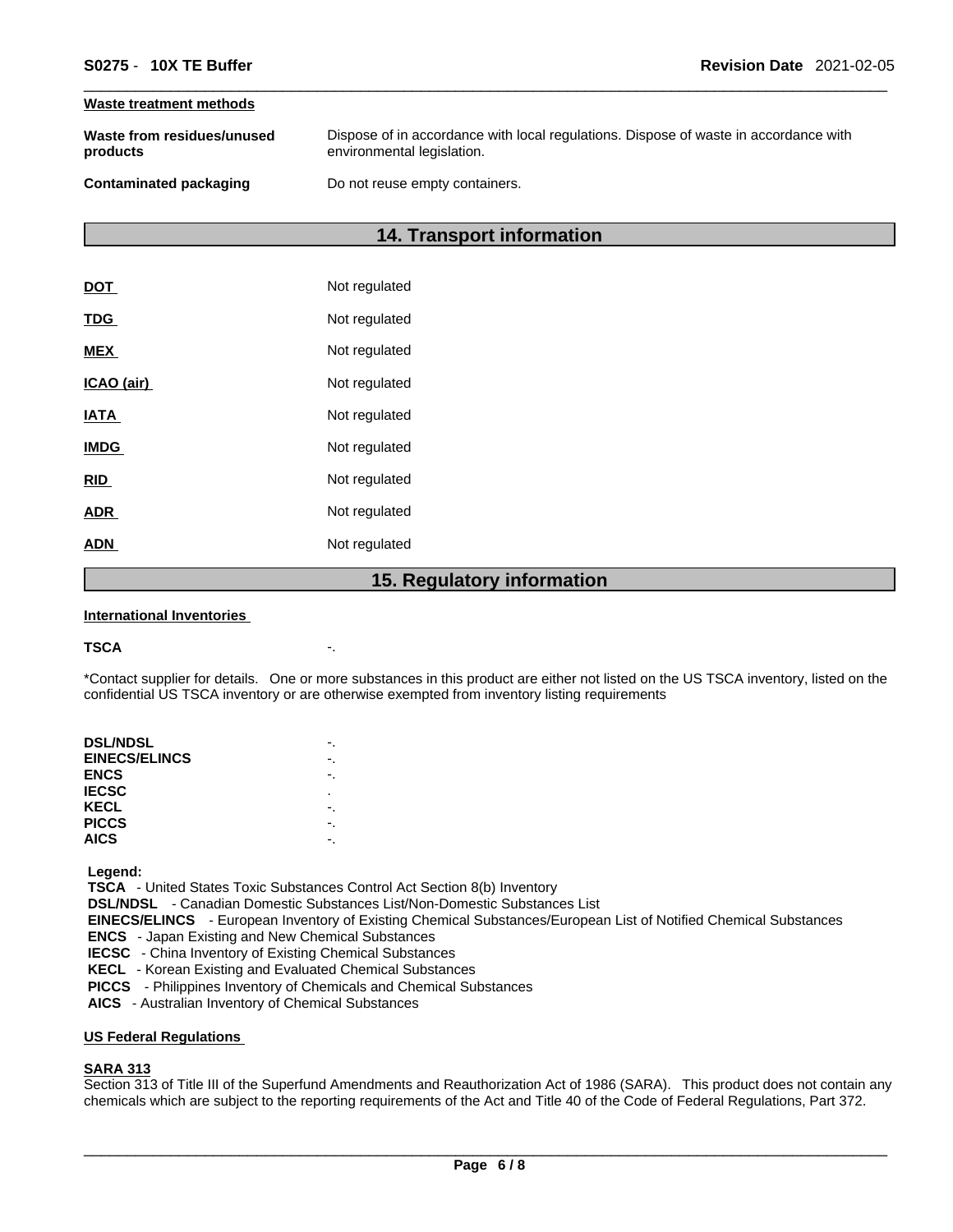### **Waste treatment methods**

| Waste from residues/unused | Dispose of in accordance with local regulations. Dispose of waste in accordance with |
|----------------------------|--------------------------------------------------------------------------------------|
| products                   | environmental legislation.                                                           |
| Contaminated packaging     | Do not reuse empty containers.                                                       |

### **14. Transport information**

|             | 1 F<br><b>Dogulator</b> |
|-------------|-------------------------|
| <b>ADN</b>  | Not regulated           |
| <b>ADR</b>  | Not regulated           |
| <b>RID</b>  | Not regulated           |
| <b>IMDG</b> | Not regulated           |
| <b>IATA</b> | Not regulated           |
| ICAO (air)  | Not regulated           |
| <b>MEX</b>  | Not regulated           |
| <b>TDG</b>  | Not regulated           |
| <b>DOT</b>  | Not regulated           |

### **15. Regulatory information**

#### **International Inventories**

#### **TSCA** -.

\*Contact supplier for details. One or more substances in this product are either not listed on the US TSCA inventory, listed on the confidential US TSCA inventory or are otherwise exempted from inventory listing requirements

| <b>DSL/NDSL</b>      |    |
|----------------------|----|
| <b>EINECS/ELINCS</b> | -. |
| <b>ENCS</b>          |    |
| <b>IECSC</b>         | ٠  |
| KECL                 |    |
| <b>PICCS</b>         |    |
| <b>AICS</b>          |    |
|                      |    |

 **Legend:** 

 **TSCA** - United States Toxic Substances Control Act Section 8(b) Inventory

 **DSL/NDSL** - Canadian Domestic Substances List/Non-Domestic Substances List

 **EINECS/ELINCS** - European Inventory of Existing Chemical Substances/European List of Notified Chemical Substances

 **ENCS** - Japan Existing and New Chemical Substances

 **IECSC** - China Inventory of Existing Chemical Substances

 **KECL** - Korean Existing and Evaluated Chemical Substances

 **PICCS** - Philippines Inventory of Chemicals and Chemical Substances

 **AICS** - Australian Inventory of Chemical Substances

### **US Federal Regulations**

### **SARA 313**

Section 313 of Title III of the Superfund Amendments and Reauthorization Act of 1986 (SARA). This product does not contain any chemicals which are subject to the reporting requirements of the Act and Title 40 of the Code of Federal Regulations, Part 372.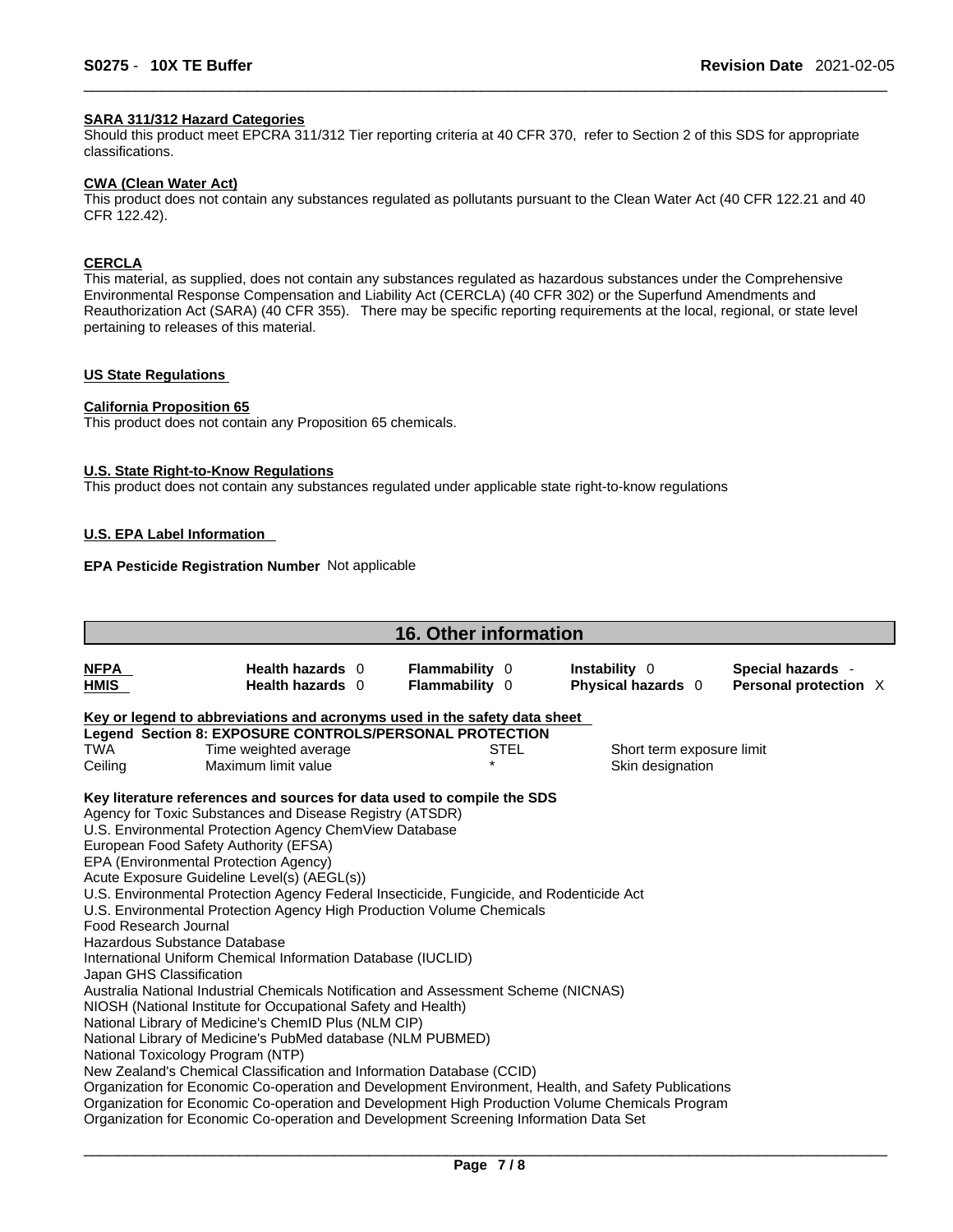### **SARA 311/312 Hazard Categories**

Should this product meet EPCRA 311/312 Tier reporting criteria at 40 CFR 370, refer to Section 2 of this SDS for appropriate classifications.

#### **CWA (Clean WaterAct)**

This product does not contain any substances regulated as pollutants pursuant to the Clean Water Act (40 CFR 122.21 and 40 CFR 122.42).

### **CERCLA**

This material, as supplied, does not contain any substances regulated as hazardous substances under the Comprehensive Environmental Response Compensation and Liability Act (CERCLA) (40 CFR 302) or the Superfund Amendments and Reauthorization Act (SARA) (40 CFR 355). There may be specific reporting requirements at the local, regional, or state level pertaining to releases of this material.

### **US State Regulations**

### **California Proposition 65**

This product does not contain any Proposition 65 chemicals.

### **U.S. State Right-to-Know Regulations**

This product does not contain any substances regulated under applicable state right-to-know regulations

### **U.S. EPA Label Information**

### **EPA Pesticide Registration Number** Not applicable